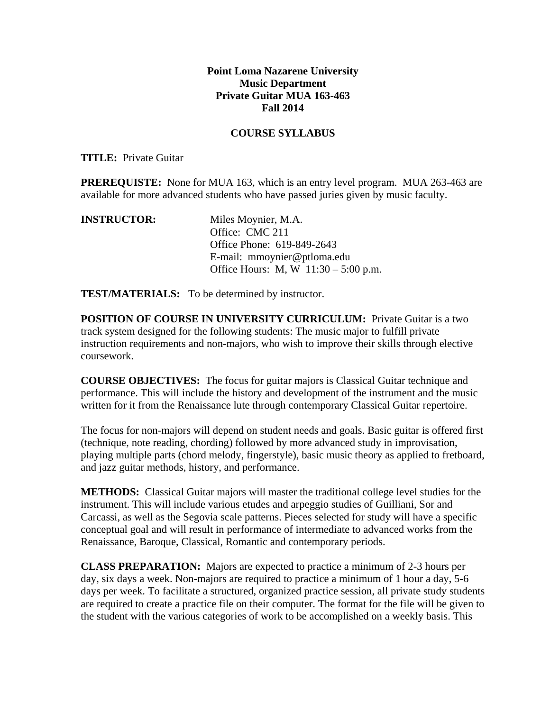## **Point Loma Nazarene University Music Department Private Guitar MUA 163-463 Fall 2014**

## **COURSE SYLLABUS**

## **TITLE:** Private Guitar

**PREREQUISTE:** None for MUA 163, which is an entry level program. MUA 263-463 are available for more advanced students who have passed juries given by music faculty.

| <b>INSTRUCTOR:</b> | Miles Moynier, M.A.                    |
|--------------------|----------------------------------------|
|                    | Office: CMC 211                        |
|                    | Office Phone: 619-849-2643             |
|                    | E-mail: mmoynier@ptloma.edu            |
|                    | Office Hours: M, W $11:30 - 5:00$ p.m. |

**TEST/MATERIALS:** To be determined by instructor.

**POSITION OF COURSE IN UNIVERSITY CURRICULUM:** Private Guitar is a two track system designed for the following students: The music major to fulfill private instruction requirements and non-majors, who wish to improve their skills through elective coursework.

**COURSE OBJECTIVES:** The focus for guitar majors is Classical Guitar technique and performance. This will include the history and development of the instrument and the music written for it from the Renaissance lute through contemporary Classical Guitar repertoire.

The focus for non-majors will depend on student needs and goals. Basic guitar is offered first (technique, note reading, chording) followed by more advanced study in improvisation, playing multiple parts (chord melody, fingerstyle), basic music theory as applied to fretboard, and jazz guitar methods, history, and performance.

**METHODS:** Classical Guitar majors will master the traditional college level studies for the instrument. This will include various etudes and arpeggio studies of Guilliani, Sor and Carcassi, as well as the Segovia scale patterns. Pieces selected for study will have a specific conceptual goal and will result in performance of intermediate to advanced works from the Renaissance, Baroque, Classical, Romantic and contemporary periods.

**CLASS PREPARATION:** Majors are expected to practice a minimum of 2-3 hours per day, six days a week. Non-majors are required to practice a minimum of 1 hour a day, 5-6 days per week. To facilitate a structured, organized practice session, all private study students are required to create a practice file on their computer. The format for the file will be given to the student with the various categories of work to be accomplished on a weekly basis. This